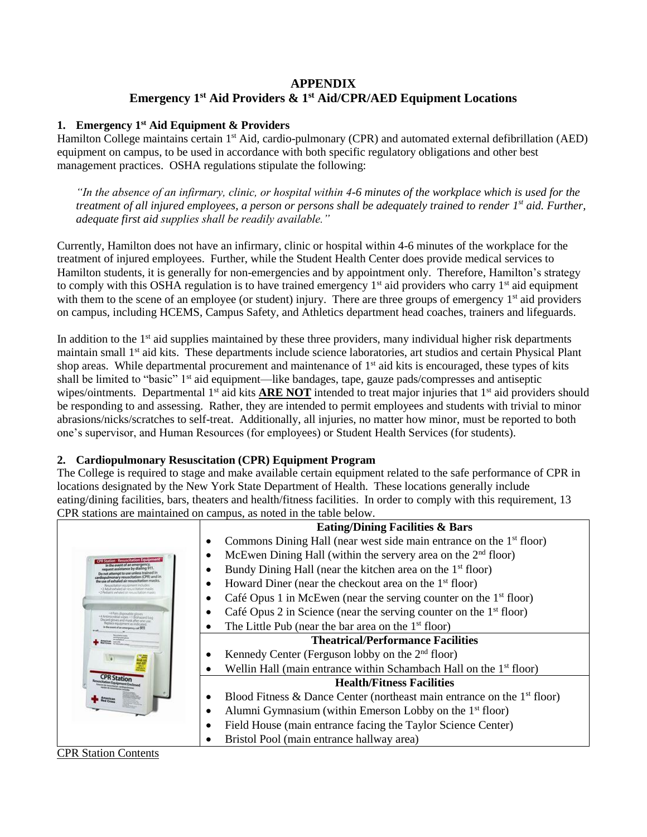# **APPENDIX Emergency 1st Aid Providers & 1 st Aid/CPR/AED Equipment Locations**

### **1. Emergency 1st Aid Equipment & Providers**

Hamilton College maintains certain 1<sup>st</sup> Aid, cardio-pulmonary (CPR) and automated external defibrillation (AED) equipment on campus, to be used in accordance with both specific regulatory obligations and other best management practices. OSHA regulations stipulate the following:

*"In the absence of an infirmary, clinic, or hospital within 4-6 minutes of the workplace which is used for the treatment of all injured employees, a person or persons shall be adequately trained to render 1 st aid. Further, adequate first aid supplies shall be readily available."*

Currently, Hamilton does not have an infirmary, clinic or hospital within 4-6 minutes of the workplace for the treatment of injured employees. Further, while the Student Health Center does provide medical services to Hamilton students, it is generally for non-emergencies and by appointment only. Therefore, Hamilton's strategy to comply with this OSHA regulation is to have trained emergency  $1<sup>st</sup>$  aid providers who carry  $1<sup>st</sup>$  aid equipment with them to the scene of an employee (or student) injury. There are three groups of emergency  $1<sup>st</sup>$  aid providers on campus, including HCEMS, Campus Safety, and Athletics department head coaches, trainers and lifeguards.

In addition to the 1<sup>st</sup> aid supplies maintained by these three providers, many individual higher risk departments maintain small 1<sup>st</sup> aid kits. These departments include science laboratories, art studios and certain Physical Plant shop areas. While departmental procurement and maintenance of 1<sup>st</sup> aid kits is encouraged, these types of kits shall be limited to "basic" 1<sup>st</sup> aid equipment—like bandages, tape, gauze pads/compresses and antiseptic wipes/ointments. Departmental  $1<sup>st</sup>$  aid kits **ARE NOT** intended to treat major injuries that  $1<sup>st</sup>$  aid providers should be responding to and assessing. Rather, they are intended to permit employees and students with trivial to minor abrasions/nicks/scratches to self-treat. Additionally, all injuries, no matter how minor, must be reported to both one's supervisor, and Human Resources (for employees) or Student Health Services (for students).

# **2. Cardiopulmonary Resuscitation (CPR) Equipment Program**

The College is required to stage and make available certain equipment related to the safe performance of CPR in locations designated by the New York State Department of Health. These locations generally include eating/dining facilities, bars, theaters and health/fitness facilities. In order to comply with this requirement, 13 CPR stations are maintained on campus, as noted in the table below.

|                                                                      | <b>Eating/Dining Facilities &amp; Bars</b>                                                  |  |  |
|----------------------------------------------------------------------|---------------------------------------------------------------------------------------------|--|--|
|                                                                      | Commons Dining Hall (near west side main entrance on the 1 <sup>st</sup> floor)<br>٠        |  |  |
| <b>CPR Station - Resuscitation Equip</b>                             | McEwen Dining Hall (within the servery area on the $2nd$ floor)<br>٠                        |  |  |
|                                                                      | Bundy Dining Hall (near the kitchen area on the 1 <sup>st</sup> floor)<br>$\bullet$         |  |  |
|                                                                      | Howard Diner (near the checkout area on the $1st$ floor)<br>٠                               |  |  |
|                                                                      | Café Opus 1 in McEwen (near the serving counter on the $1st$ floor)<br>$\bullet$            |  |  |
| *4 Fairs disposable ninus<br>4 Antimicrobial siges +1 Biolisated bac | Café Opus 2 in Science (near the serving counter on the $1st$ floor)                        |  |  |
|                                                                      | The Little Pub (near the bar area on the $1st$ floor)<br>$\bullet$                          |  |  |
|                                                                      | <b>Theatrical/Performance Facilities</b>                                                    |  |  |
|                                                                      | Kennedy Center (Ferguson lobby on the $2nd$ floor)<br>٠                                     |  |  |
|                                                                      | Wellin Hall (main entrance within Schambach Hall on the 1 <sup>st</sup> floor)<br>$\bullet$ |  |  |
|                                                                      | <b>Health/Fitness Facilities</b>                                                            |  |  |
|                                                                      | Blood Fitness & Dance Center (northeast main entrance on the $1st$ floor)<br>٠              |  |  |
|                                                                      | Alumni Gymnasium (within Emerson Lobby on the $1st$ floor)<br>$\bullet$                     |  |  |
|                                                                      | Field House (main entrance facing the Taylor Science Center)<br>$\bullet$                   |  |  |
|                                                                      | Bristol Pool (main entrance hallway area)<br>٠                                              |  |  |

#### CPR Station Contents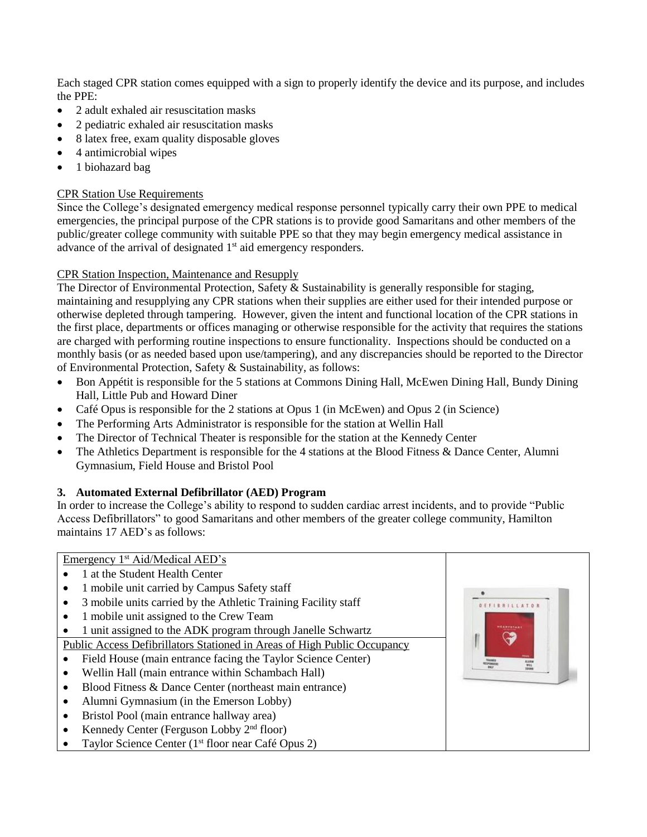Each staged CPR station comes equipped with a sign to properly identify the device and its purpose, and includes the PPE:

- 2 adult exhaled air resuscitation masks
- 2 pediatric exhaled air resuscitation masks
- 8 latex free, exam quality disposable gloves
- 4 antimicrobial wipes
- 1 biohazard bag

### CPR Station Use Requirements

Since the College's designated emergency medical response personnel typically carry their own PPE to medical emergencies, the principal purpose of the CPR stations is to provide good Samaritans and other members of the public/greater college community with suitable PPE so that they may begin emergency medical assistance in advance of the arrival of designated  $1<sup>st</sup>$  aid emergency responders.

# CPR Station Inspection, Maintenance and Resupply

The Director of Environmental Protection, Safety & Sustainability is generally responsible for staging, maintaining and resupplying any CPR stations when their supplies are either used for their intended purpose or otherwise depleted through tampering. However, given the intent and functional location of the CPR stations in the first place, departments or offices managing or otherwise responsible for the activity that requires the stations are charged with performing routine inspections to ensure functionality. Inspections should be conducted on a monthly basis (or as needed based upon use/tampering), and any discrepancies should be reported to the Director of Environmental Protection, Safety & Sustainability, as follows:

- Bon Appétit is responsible for the 5 stations at Commons Dining Hall, McEwen Dining Hall, Bundy Dining Hall, Little Pub and Howard Diner
- Café Opus is responsible for the 2 stations at Opus 1 (in McEwen) and Opus 2 (in Science)
- The Performing Arts Administrator is responsible for the station at Wellin Hall
- The Director of Technical Theater is responsible for the station at the Kennedy Center
- The Athletics Department is responsible for the 4 stations at the Blood Fitness & Dance Center, Alumni Gymnasium, Field House and Bristol Pool

# **3. Automated External Defibrillator (AED) Program**

In order to increase the College's ability to respond to sudden cardiac arrest incidents, and to provide "Public Access Defibrillators" to good Samaritans and other members of the greater college community, Hamilton maintains 17 AED's as follows: